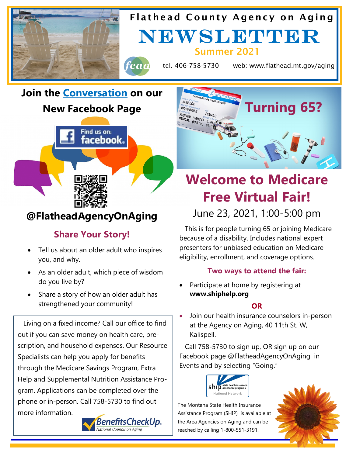

Flathead County Agency on Aging

# Summer 2021 NEWSLETTER



tel. 406-758-5730 web: www.flathead.mt.gov/aging

# **Join the Conversation on our New Facebook Page**



# **@FlatheadAgencyOnAging**

### **Share Your Story!**

- Tell us about an older adult who inspires you, and why.
- As an older adult, which piece of wisdom do you live by?
- Share a story of how an older adult has strengthened your community!

 Living on a fixed income? Call our office to find out if you can save money on health care, prescription, and household expenses. Our Resource Specialists can help you apply for benefits through the Medicare Savings Program, Extra Help and Supplemental Nutrition Assistance Program. Applications can be completed over the phone or in-person. Call 758-5730 to find out more information.





# **Welcome to Medicare Free Virtual Fair!**

June 23, 2021, 1:00-5:00 pm

 This is for people turning 65 or joining Medicare because of a disability. Includes national expert presenters for unbiased education on Medicare eligibility, enrollment, and coverage options.

### **Two ways to attend the fair:**

Participate at home by registering at **www.shiphelp.org** 

### **OR**

• Join our health insurance counselors in-person at the Agency on Aging, 40 11th St. W, Kalispell.

 Call 758-5730 to sign up, OR sign up on our Facebook page @FlatheadAgencyOnAging in Events and by selecting "Going."



The Montana State Health Insurance Assistance Program (SHIP) is available at the Area Agencies on Aging and can be reached by calling 1-800-551-3191.